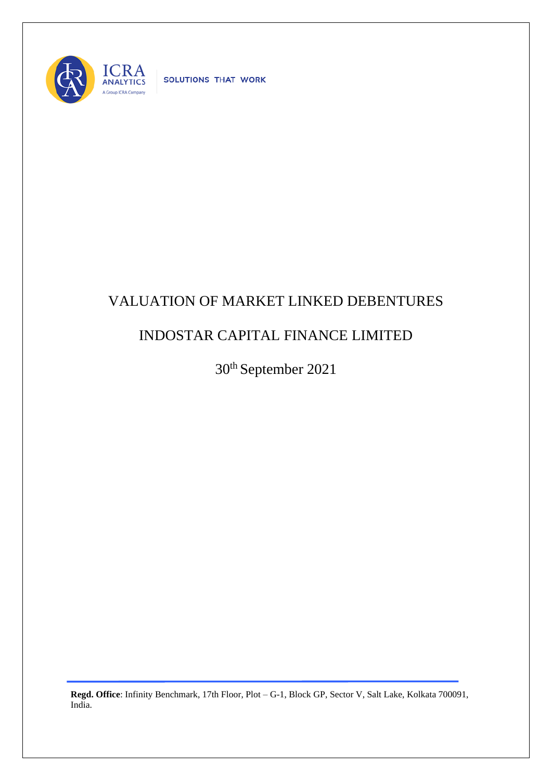

SOLUTIONS THAT WORK

## VALUATION OF MARKET LINKED DEBENTURES

## INDOSTAR CAPITAL FINANCE LIMITED

30th September 2021

**Regd. Office**: Infinity Benchmark, 17th Floor, Plot – G-1, Block GP, Sector V, Salt Lake, Kolkata 700091, India.